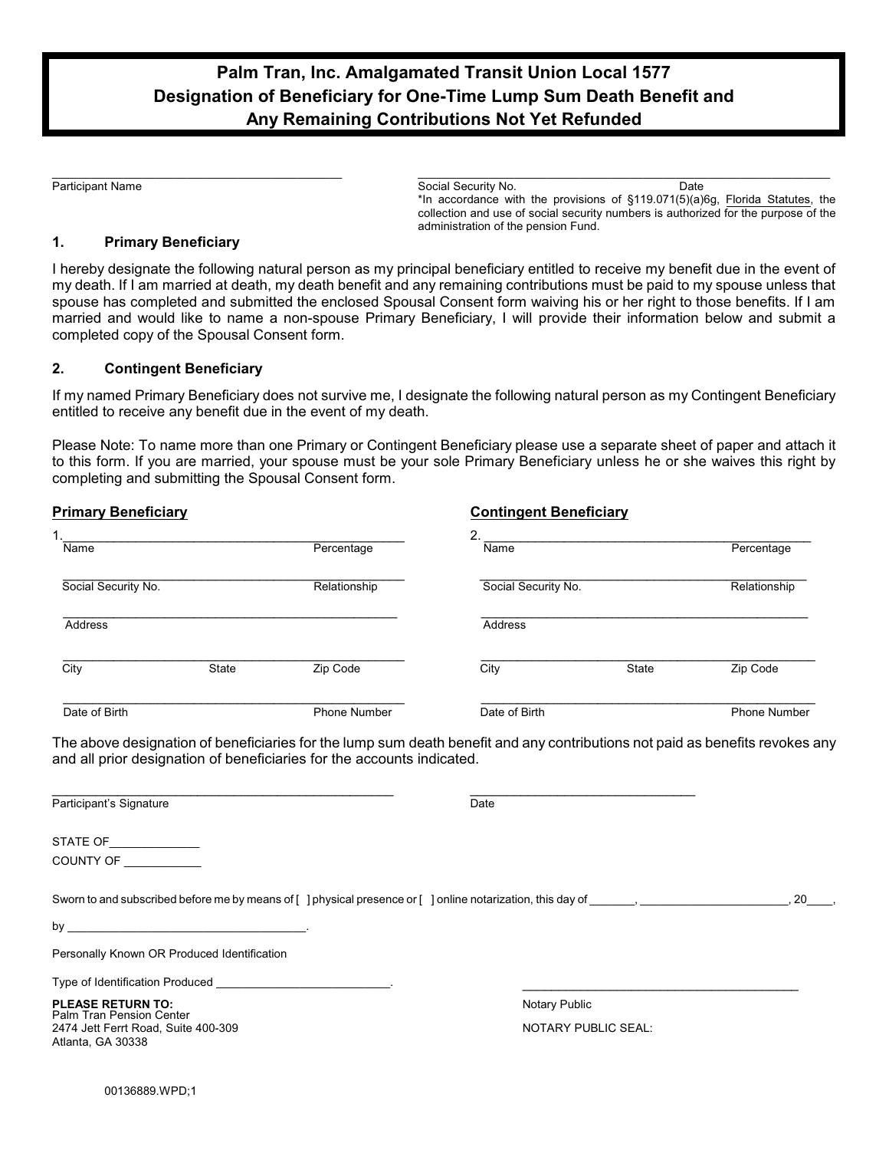## **Palm Tran, Inc. Amalgamated Transit Union Local 1577 Designation of Beneficiary for One-Time Lump Sum Death Benefit and Any Remaining Contributions Not Yet Refunded**

\_\_\_\_\_\_\_\_\_\_\_\_\_\_\_\_\_\_\_\_\_\_\_\_\_\_\_\_\_\_\_\_\_\_\_\_\_\_\_\_\_\_\_\_\_ \_\_\_\_\_\_\_\_\_\_\_\_\_\_\_\_\_\_\_\_\_\_\_\_\_\_\_\_\_\_\_\_\_\_\_\_\_\_\_\_\_\_\_\_\_\_\_\_\_\_\_\_\_\_\_\_\_\_\_\_\_\_\_\_

Participant Name **Social Security No.** Date **Social Security No.** Date **Date Contract Contract Contract Contract Contract Contract Contract Contract Contract Contract Contract Contract Contract Contract Contract Contract** \*In accordance with the provisions of §119.071(5)(a)6g, Florida Statutes, the collection and use of social security numbers is authorized for the purpose of the administration of the pension Fund.

## **1. Primary Beneficiary**

I hereby designate the following natural person as my principal beneficiary entitled to receive my benefit due in the event of my death. If I am married at death, my death benefit and any remaining contributions must be paid to my spouse unless that spouse has completed and submitted the enclosed Spousal Consent form waiving his or her right to those benefits. If I am married and would like to name a non-spouse Primary Beneficiary, I will provide their information below and submit a completed copy of the Spousal Consent form.

## **2. Contingent Beneficiary**

If my named Primary Beneficiary does not survive me, I designate the following natural person as my Contingent Beneficiary entitled to receive any benefit due in the event of my death.

Please Note: To name more than one Primary or Contingent Beneficiary please use a separate sheet of paper and attach it to this form. If you are married, your spouse must be your sole Primary Beneficiary unless he or she waives this right by completing and submitting the Spousal Consent form.

| Primary Beneficiary |       |                     | <b>Contingent Beneficiary</b> |       |                     |
|---------------------|-------|---------------------|-------------------------------|-------|---------------------|
| ٠.<br>Name          |       | Percentage          | $\mathbf{2}$<br>Name          |       | Percentage          |
| Social Security No. |       | Relationship        | Social Security No.           |       | Relationship        |
| Address             |       |                     | Address                       |       |                     |
| City                | State | Zip Code            | City                          | State | Zip Code            |
| Date of Birth       |       | <b>Phone Number</b> | Date of Birth                 |       | <b>Phone Number</b> |

The above designation of beneficiaries for the lump sum death benefit and any contributions not paid as benefits revokes any and all prior designation of beneficiaries for the accounts indicated.

 $\mathcal{L}_\text{max}$  , and the contribution of the contribution of the contribution of the contribution of the contribution of the contribution of the contribution of the contribution of the contribution of the contribution of t

| Participant's Signature                                                                                                                                                                                                            | Date                       |      |
|------------------------------------------------------------------------------------------------------------------------------------------------------------------------------------------------------------------------------------|----------------------------|------|
| STATE OF ______________                                                                                                                                                                                                            |                            |      |
| COUNTY OF                                                                                                                                                                                                                          |                            |      |
| Sworn to and subscribed before me by means of [ ] physical presence or [ ] online notarization, this day of same reserved by means of [ ] physical presence or [ ] online notarization, this day of                                |                            | . 20 |
|                                                                                                                                                                                                                                    |                            |      |
| Personally Known OR Produced Identification                                                                                                                                                                                        |                            |      |
| Type of Identification Produced <b>Exercise 2</b> Figure 2 and 2 and 2 and 2 and 2 and 2 and 2 and 2 and 2 and 2 and 2 and 2 and 2 and 2 and 2 and 2 and 2 and 2 and 2 and 2 and 2 and 2 and 2 and 2 and 2 and 2 and 2 and 2 and 2 |                            |      |
| <b>PLEASE RETURN TO:</b><br><b>Palm Tran Pension Center</b>                                                                                                                                                                        | Notary Public              |      |
| 2474 Jett Ferrt Road, Suite 400-309<br>Atlanta, GA 30338                                                                                                                                                                           | <b>NOTARY PUBLIC SEAL:</b> |      |
| 00136889.WPD;1                                                                                                                                                                                                                     |                            |      |